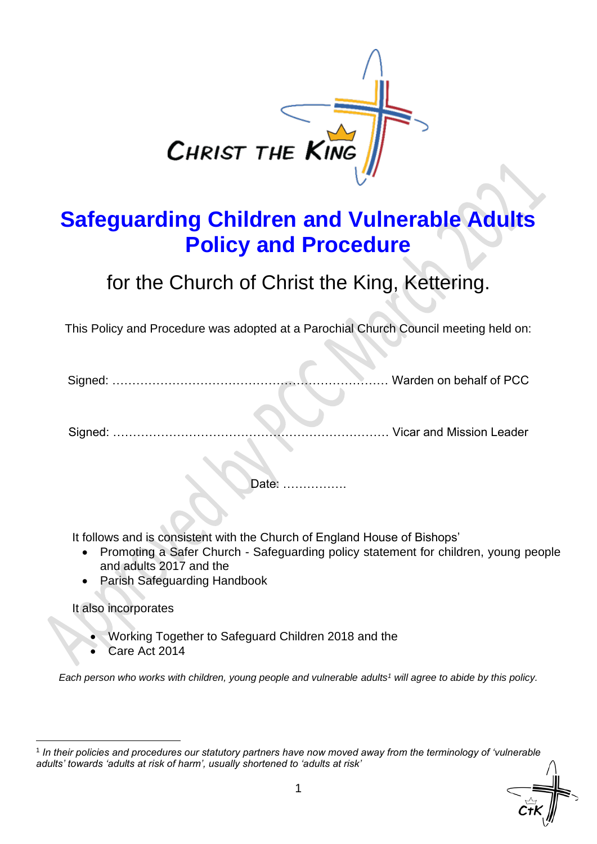

# **Safeguarding Children and Vulnerable Adults Policy and Procedure**

for the Church of Christ the King, Kettering.

This Policy and Procedure was adopted at a Parochial Church Council meeting held on:

Signed: …………………………………………………………… Warden on behalf of PCC

Signed: …………………………………………………………… Vicar and Mission Leader

Date: …

It follows and is consistent with the Church of England House of Bishops'

- Promoting a Safer Church Safeguarding policy statement for children, young people and adults 2017 and the
- Parish Safeguarding Handbook

#### It also incorporates

- Working Together to Safeguard Children 2018 and the
- Care Act 2014

*Each person who works with children, young people and vulnerable adults<sup>1</sup> will agree to abide by this policy.*

<sup>1</sup> *In their policies and procedures our statutory partners have now moved away from the terminology of 'vulnerable adults' towards 'adults at risk of harm', usually shortened to 'adults at risk'*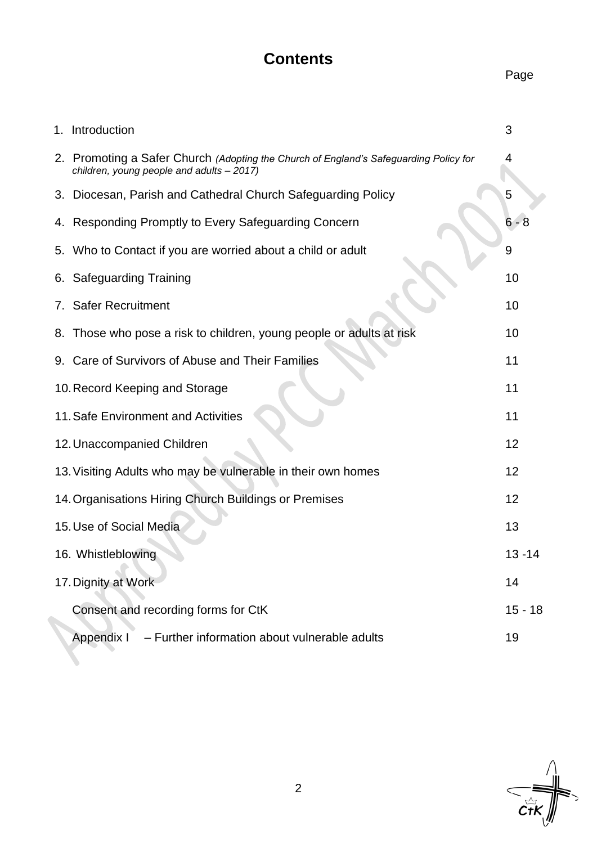## **Contents**

## Page

| 1. Introduction                                                                                                                    | 3         |
|------------------------------------------------------------------------------------------------------------------------------------|-----------|
| 2. Promoting a Safer Church (Adopting the Church of England's Safeguarding Policy for<br>children, young people and adults - 2017) | 4         |
| Diocesan, Parish and Cathedral Church Safeguarding Policy<br>3.                                                                    | 5         |
| 4. Responding Promptly to Every Safeguarding Concern                                                                               | $6 - 8$   |
| 5. Who to Contact if you are worried about a child or adult                                                                        | 9         |
| 6. Safeguarding Training                                                                                                           | 10        |
| 7. Safer Recruitment                                                                                                               | 10        |
| 8. Those who pose a risk to children, young people or adults at risk                                                               | 10        |
| 9. Care of Survivors of Abuse and Their Families                                                                                   | 11        |
| 10. Record Keeping and Storage                                                                                                     | 11        |
| 11. Safe Environment and Activities                                                                                                | 11        |
| 12. Unaccompanied Children                                                                                                         | 12        |
| 13. Visiting Adults who may be vulnerable in their own homes                                                                       | 12        |
| 14. Organisations Hiring Church Buildings or Premises                                                                              | 12        |
| 15. Use of Social Media                                                                                                            | 13        |
| 16. Whistleblowing                                                                                                                 | $13 - 14$ |
| 17. Dignity at Work                                                                                                                | 14        |
| Consent and recording forms for CtK                                                                                                | $15 - 18$ |
| Appendix I<br>- Further information about vulnerable adults                                                                        | 19        |
|                                                                                                                                    |           |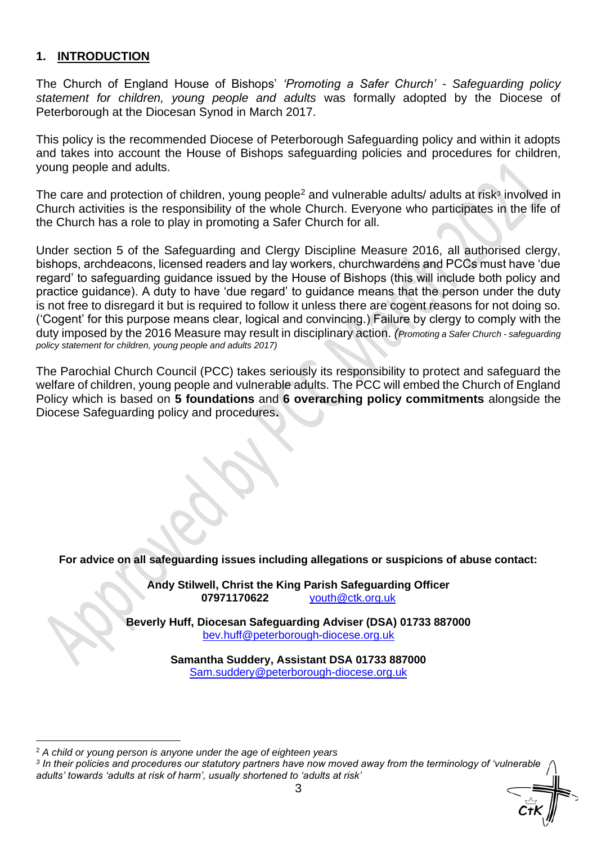#### **1. INTRODUCTION**

The Church of England House of Bishops' *'Promoting a Safer Church' - Safeguarding policy statement for children, young people and adults* was formally adopted by the Diocese of Peterborough at the Diocesan Synod in March 2017.

This policy is the recommended Diocese of Peterborough Safeguarding policy and within it adopts and takes into account the House of Bishops safeguarding policies and procedures for children, young people and adults.

The care and protection of children, young people<sup>2</sup> and vulnerable adults/ adults at risk<sup>3</sup> involved in Church activities is the responsibility of the whole Church. Everyone who participates in the life of the Church has a role to play in promoting a Safer Church for all.

Under section 5 of the Safeguarding and Clergy Discipline Measure 2016, all authorised clergy, bishops, archdeacons, licensed readers and lay workers, churchwardens and PCCs must have 'due regard' to safeguarding guidance issued by the House of Bishops (this will include both policy and practice guidance). A duty to have 'due regard' to guidance means that the person under the duty is not free to disregard it but is required to follow it unless there are cogent reasons for not doing so. ('Cogent' for this purpose means clear, logical and convincing.) Failure by clergy to comply with the duty imposed by the 2016 Measure may result in disciplinary action. *(Promoting a Safer Church - safeguarding policy statement for children, young people and adults 2017)*

The Parochial Church Council (PCC) takes seriously its responsibility to protect and safeguard the welfare of children, young people and vulnerable adults. The PCC will embed the Church of England Policy which is based on **5 foundations** and **6 overarching policy commitments** alongside the Diocese Safeguarding policy and procedures**.** 

**For advice on all safeguarding issues including allegations or suspicions of abuse contact:** 

**Andy Stilwell, Christ the King Parish Safeguarding Officer 07971170622** [youth@ctk.org.uk](mailto:youth@ctk.org.uk)

**Beverly Huff, Diocesan Safeguarding Adviser (DSA) 01733 887000**  [bev.huff@peterborough-diocese.org.uk](mailto:bev.huff@peterborough-diocese.org.uk)

> **Samantha Suddery, Assistant DSA 01733 887000** [Sam.suddery@peterborough-diocese.org.uk](mailto:Sam.suddery@peterborough-diocese.org.uk)

<sup>2</sup> *A child or young person is anyone under the age of eighteen years*

*<sup>3</sup> In their policies and procedures our statutory partners have now moved away from the terminology of 'vulnerable adults' towards 'adults at risk of harm', usually shortened to 'adults at risk'*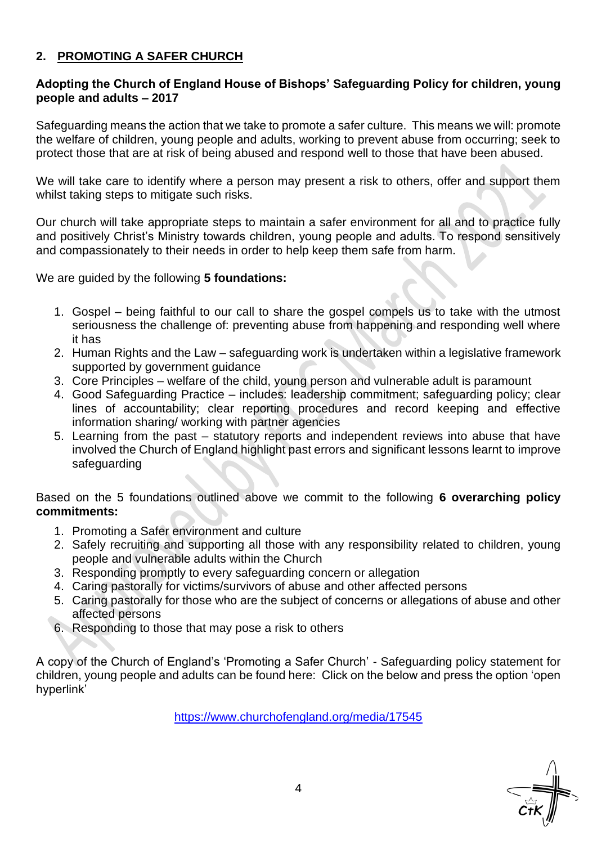#### **2. PROMOTING A SAFER CHURCH**

#### **Adopting the Church of England House of Bishops' Safeguarding Policy for children, young people and adults – 2017**

Safeguarding means the action that we take to promote a safer culture. This means we will: promote the welfare of children, young people and adults, working to prevent abuse from occurring; seek to protect those that are at risk of being abused and respond well to those that have been abused.

We will take care to identify where a person may present a risk to others, offer and support them whilst taking steps to mitigate such risks.

Our church will take appropriate steps to maintain a safer environment for all and to practice fully and positively Christ's Ministry towards children, young people and adults. To respond sensitively and compassionately to their needs in order to help keep them safe from harm.

We are guided by the following **5 foundations:**

- 1. Gospel being faithful to our call to share the gospel compels us to take with the utmost seriousness the challenge of: preventing abuse from happening and responding well where it has
- 2. Human Rights and the Law safeguarding work is undertaken within a legislative framework supported by government guidance
- 3. Core Principles welfare of the child, young person and vulnerable adult is paramount
- 4. Good Safeguarding Practice includes: leadership commitment; safeguarding policy; clear lines of accountability; clear reporting procedures and record keeping and effective information sharing/ working with partner agencies
- 5. Learning from the past statutory reports and independent reviews into abuse that have involved the Church of England highlight past errors and significant lessons learnt to improve safeguarding

Based on the 5 foundations outlined above we commit to the following **6 overarching policy commitments:**

- 1. Promoting a Safer environment and culture
- 2. Safely recruiting and supporting all those with any responsibility related to children, young people and vulnerable adults within the Church
- 3. Responding promptly to every safeguarding concern or allegation
- 4. Caring pastorally for victims/survivors of abuse and other affected persons
- 5. Caring pastorally for those who are the subject of concerns or allegations of abuse and other affected persons
- 6. Responding to those that may pose a risk to others

A copy of the Church of England's 'Promoting a Safer Church' - Safeguarding policy statement for children, young people and adults can be found here: Click on the below and press the option 'open hyperlink'

<https://www.churchofengland.org/media/17545>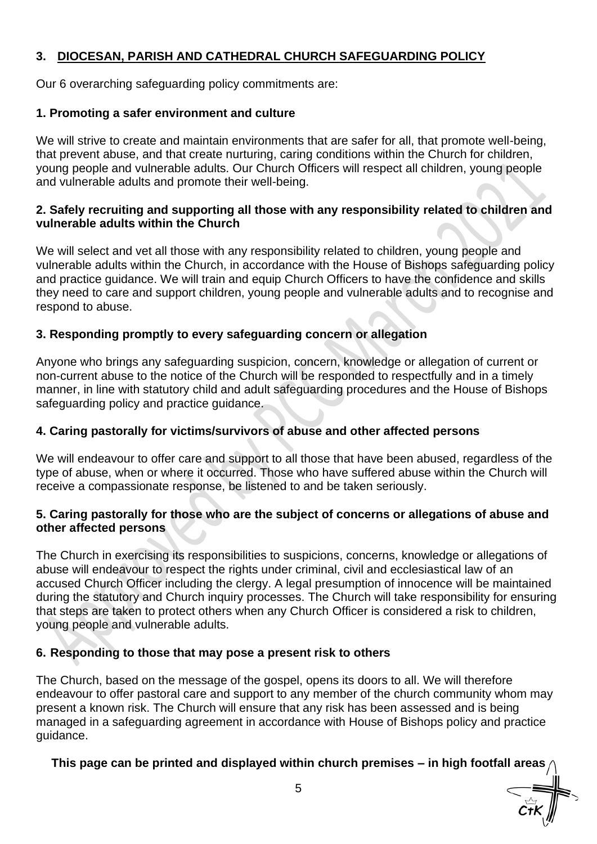### **3. DIOCESAN, PARISH AND CATHEDRAL CHURCH SAFEGUARDING POLICY**

Our 6 overarching safeguarding policy commitments are:

#### **1. Promoting a safer environment and culture**

We will strive to create and maintain environments that are safer for all, that promote well-being, that prevent abuse, and that create nurturing, caring conditions within the Church for children, young people and vulnerable adults. Our Church Officers will respect all children, young people and vulnerable adults and promote their well-being.

#### **2. Safely recruiting and supporting all those with any responsibility related to children and vulnerable adults within the Church**

We will select and vet all those with any responsibility related to children, young people and vulnerable adults within the Church, in accordance with the House of Bishops safeguarding policy and practice guidance. We will train and equip Church Officers to have the confidence and skills they need to care and support children, young people and vulnerable adults and to recognise and respond to abuse.

#### **3. Responding promptly to every safeguarding concern or allegation**

Anyone who brings any safeguarding suspicion, concern, knowledge or allegation of current or non-current abuse to the notice of the Church will be responded to respectfully and in a timely manner, in line with statutory child and adult safeguarding procedures and the House of Bishops safeguarding policy and practice guidance.

#### **4. Caring pastorally for victims/survivors of abuse and other affected persons**

We will endeavour to offer care and support to all those that have been abused, regardless of the type of abuse, when or where it occurred. Those who have suffered abuse within the Church will receive a compassionate response, be listened to and be taken seriously.

#### **5. Caring pastorally for those who are the subject of concerns or allegations of abuse and other affected persons**

The Church in exercising its responsibilities to suspicions, concerns, knowledge or allegations of abuse will endeavour to respect the rights under criminal, civil and ecclesiastical law of an accused Church Officer including the clergy. A legal presumption of innocence will be maintained during the statutory and Church inquiry processes. The Church will take responsibility for ensuring that steps are taken to protect others when any Church Officer is considered a risk to children, young people and vulnerable adults.

#### **6. Responding to those that may pose a present risk to others**

The Church, based on the message of the gospel, opens its doors to all. We will therefore endeavour to offer pastoral care and support to any member of the church community whom may present a known risk. The Church will ensure that any risk has been assessed and is being managed in a safeguarding agreement in accordance with House of Bishops policy and practice guidance.

### **This page can be printed and displayed within church premises – in high footfall areas**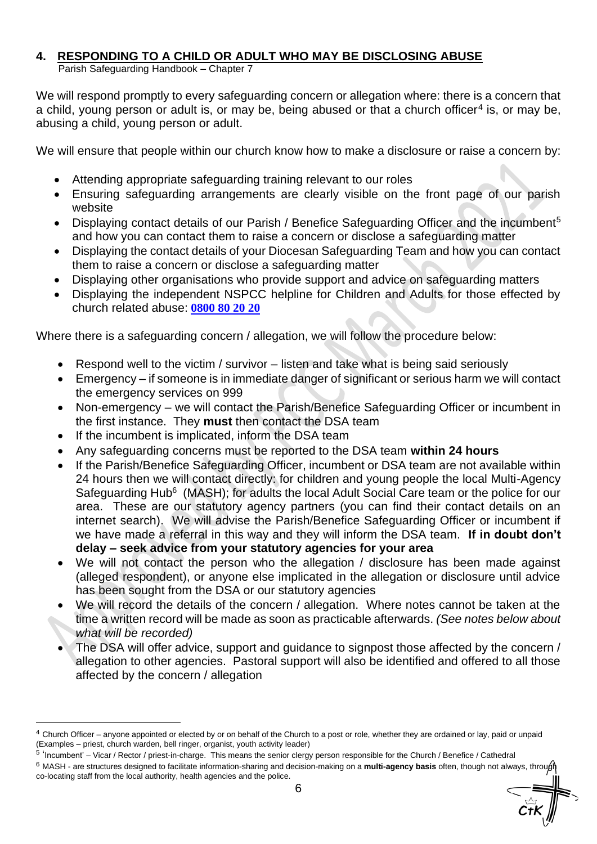#### **4. RESPONDING TO A CHILD OR ADULT WHO MAY BE DISCLOSING ABUSE**

Parish Safeguarding Handbook – Chapter 7

We will respond promptly to every safeguarding concern or allegation where: there is a concern that a child, young person or adult is, or may be, being abused or that a church officer<sup>4</sup> is, or may be, abusing a child, young person or adult.

We will ensure that people within our church know how to make a disclosure or raise a concern by:

- Attending appropriate safeguarding training relevant to our roles
- Ensuring safeguarding arrangements are clearly visible on the front page of our parish website
- Displaying contact details of our Parish / Benefice Safeguarding Officer and the incumbent<sup>5</sup> and how you can contact them to raise a concern or disclose a safeguarding matter
- Displaying the contact details of your Diocesan Safeguarding Team and how you can contact them to raise a concern or disclose a safeguarding matter
- Displaying other organisations who provide support and advice on safeguarding matters
- Displaying the independent NSPCC helpline for Children and Adults for those effected by church related abuse: **[0800 80 20 20](dial://0800802020/)**

Where there is a safeguarding concern / allegation, we will follow the procedure below:

- Respond well to the victim / survivor listen and take what is being said seriously
- Emergency if someone is in immediate danger of significant or serious harm we will contact the emergency services on 999
- Non-emergency we will contact the Parish/Benefice Safeguarding Officer or incumbent in the first instance. They **must** then contact the DSA team
- If the incumbent is implicated, inform the DSA team
- Any safeguarding concerns must be reported to the DSA team **within 24 hours**
- If the Parish/Benefice Safeguarding Officer, incumbent or DSA team are not available within 24 hours then we will contact directly: for children and young people the local Multi-Agency Safeguarding Hub<sup>6</sup> (MASH); for adults the local Adult Social Care team or the police for our area. These are our statutory agency partners (you can find their contact details on an internet search). We will advise the Parish/Benefice Safeguarding Officer or incumbent if we have made a referral in this way and they will inform the DSA team. **If in doubt don't delay – seek advice from your statutory agencies for your area**
- We will not contact the person who the allegation / disclosure has been made against (alleged respondent), or anyone else implicated in the allegation or disclosure until advice has been sought from the DSA or our statutory agencies
- We will record the details of the concern / allegation. Where notes cannot be taken at the time a written record will be made as soon as practicable afterwards. *(See notes below about what will be recorded)*
- The DSA will offer advice, support and guidance to signpost those affected by the concern / allegation to other agencies. Pastoral support will also be identified and offered to all those affected by the concern / allegation

<sup>4</sup> Church Officer – anyone appointed or elected by or on behalf of the Church to a post or role, whether they are ordained or lay, paid or unpaid (Examples – priest, church warden, bell ringer, organist, youth activity leader)

<sup>&</sup>lt;sup>5</sup> 'Incumbent' – Vicar / Rector / priest-in-charge. This means the senior clergy person responsible for the Church / Benefice / Cathedral

<sup>6</sup> MASH - are structures designed to facilitate information-sharing and decision-making on a **multi-agency basis** often, though not always, through co-locating staff from the local authority, health agencies and the police.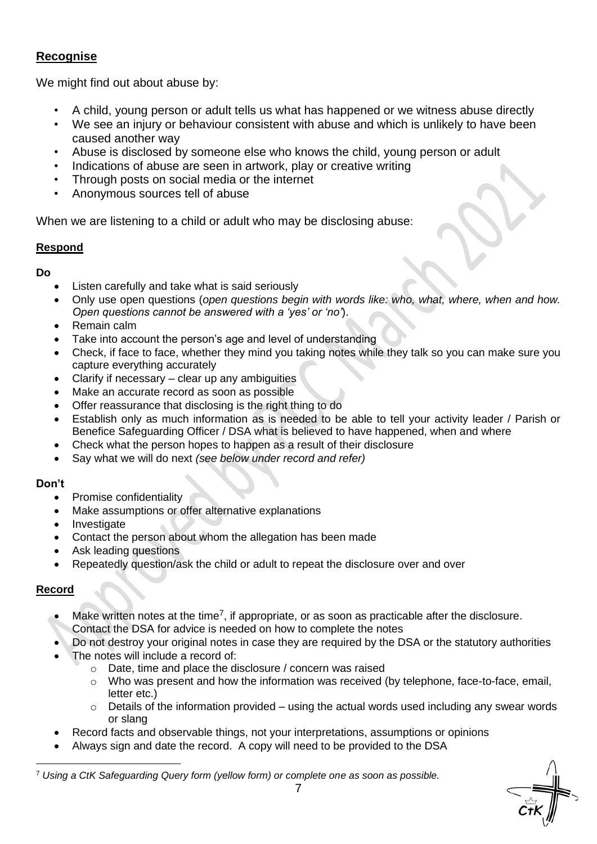### **Recognise**

We might find out about abuse by:

- A child, young person or adult tells us what has happened or we witness abuse directly
- We see an injury or behaviour consistent with abuse and which is unlikely to have been caused another way
- Abuse is disclosed by someone else who knows the child, young person or adult
- Indications of abuse are seen in artwork, play or creative writing
- Through posts on social media or the internet
- Anonymous sources tell of abuse

When we are listening to a child or adult who may be disclosing abuse:

#### **Respond**

**Do** 

- Listen carefully and take what is said seriously
- Only use open questions (*open questions begin with words like: who, what, where, when and how. Open questions cannot be answered with a 'yes' or 'no'*).
- Remain calm
- Take into account the person's age and level of understanding
- Check, if face to face, whether they mind you taking notes while they talk so you can make sure you capture everything accurately
- Clarify if necessary clear up any ambiguities
- Make an accurate record as soon as possible
- Offer reassurance that disclosing is the right thing to do
- Establish only as much information as is needed to be able to tell your activity leader / Parish or Benefice Safeguarding Officer / DSA what is believed to have happened, when and where
- Check what the person hopes to happen as a result of their disclosure
- Say what we will do next *(see below under record and refer)*

#### **Don't**

- Promise confidentiality
- Make assumptions or offer alternative explanations
- Investigate
- Contact the person about whom the allegation has been made
- Ask leading questions
- Repeatedly question/ask the child or adult to repeat the disclosure over and over

#### **Record**

- $\bullet$  Make written notes at the time<sup>7</sup>, if appropriate, or as soon as practicable after the disclosure.
- Contact the DSA for advice is needed on how to complete the notes
- Do not destroy your original notes in case they are required by the DSA or the statutory authorities
- The notes will include a record of:
	- o Date, time and place the disclosure / concern was raised
	- $\circ$  Who was present and how the information was received (by telephone, face-to-face, email, letter etc.)
	- $\circ$  Details of the information provided using the actual words used including any swear words or slang
	- Record facts and observable things, not your interpretations, assumptions or opinions
- Always sign and date the record. A copy will need to be provided to the DSA

<sup>7</sup> *Using a CtK Safeguarding Query form (yellow form) or complete one as soon as possible.*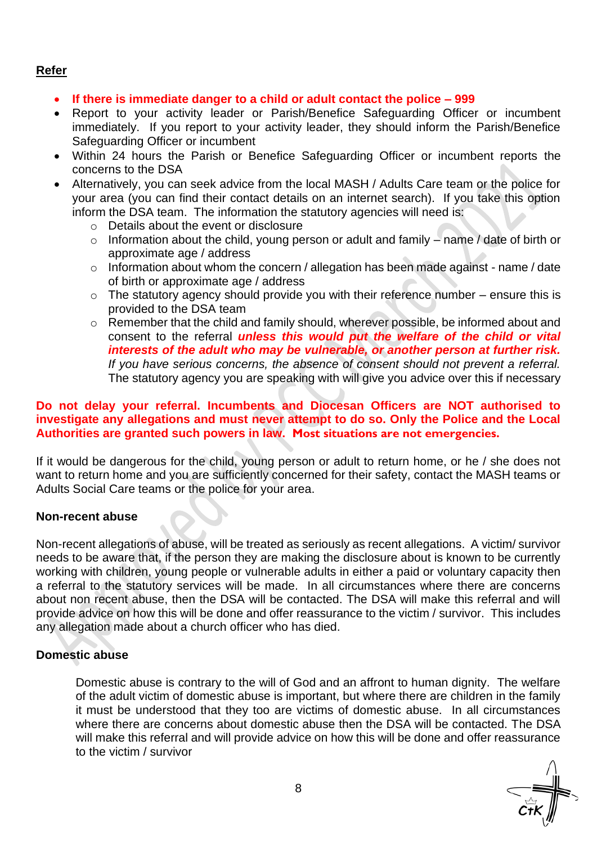#### **Refer**

- **If there is immediate danger to a child or adult contact the police – 999**
- Report to your activity leader or Parish/Benefice Safeguarding Officer or incumbent immediately. If you report to your activity leader, they should inform the Parish/Benefice Safeguarding Officer or incumbent
- Within 24 hours the Parish or Benefice Safeguarding Officer or incumbent reports the concerns to the DSA
- Alternatively, you can seek advice from the local MASH / Adults Care team or the police for your area (you can find their contact details on an internet search). If you take this option inform the DSA team. The information the statutory agencies will need is:
	- o Details about the event or disclosure
	- o Information about the child, young person or adult and family name / date of birth or approximate age / address
	- o Information about whom the concern / allegation has been made against name / date of birth or approximate age / address
	- $\circ$  The statutory agency should provide you with their reference number ensure this is provided to the DSA team
	- o Remember that the child and family should, wherever possible, be informed about and consent to the referral *unless this would put the welfare of the child or vital interests of the adult who may be vulnerable, or another person at further risk. If you have serious concerns, the absence of consent should not prevent a referral.* The statutory agency you are speaking with will give you advice over this if necessary

#### **Do not delay your referral. Incumbents and Diocesan Officers are NOT authorised to investigate any allegations and must never attempt to do so. Only the Police and the Local Authorities are granted such powers in law. Most situations are not emergencies.**

If it would be dangerous for the child, young person or adult to return home, or he / she does not want to return home and you are sufficiently concerned for their safety, contact the MASH teams or Adults Social Care teams or the police for your area.

#### **Non-recent abuse**

Non-recent allegations of abuse, will be treated as seriously as recent allegations. A victim/ survivor needs to be aware that, if the person they are making the disclosure about is known to be currently working with children, young people or vulnerable adults in either a paid or voluntary capacity then a referral to the statutory services will be made. In all circumstances where there are concerns about non recent abuse, then the DSA will be contacted. The DSA will make this referral and will provide advice on how this will be done and offer reassurance to the victim / survivor. This includes any allegation made about a church officer who has died.

#### **Domestic abuse**

Domestic abuse is contrary to the will of God and an affront to human dignity. The welfare of the adult victim of domestic abuse is important, but where there are children in the family it must be understood that they too are victims of domestic abuse. In all circumstances where there are concerns about domestic abuse then the DSA will be contacted. The DSA will make this referral and will provide advice on how this will be done and offer reassurance to the victim / survivor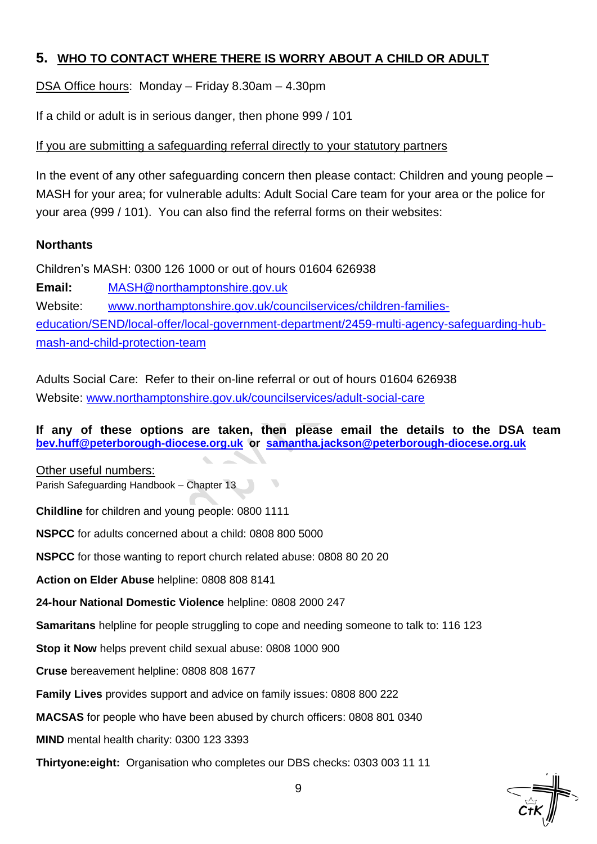## **5. WHO TO CONTACT WHERE THERE IS WORRY ABOUT A CHILD OR ADULT**

DSA Office hours: Monday – Friday 8.30am – 4.30pm

If a child or adult is in serious danger, then phone 999 / 101

#### If you are submitting a safeguarding referral directly to your statutory partners

In the event of any other safeguarding concern then please contact: Children and young people – MASH for your area; for vulnerable adults: Adult Social Care team for your area or the police for your area (999 / 101). You can also find the referral forms on their websites:

#### **Northants**

Children's MASH: 0300 126 1000 or out of hours 01604 626938

**Email:** [MASH@northamptonshire.gov.uk](mailto:MASH@northamptonshire.gov.uk) Website: [www.northamptonshire.gov.uk/councilservices/children-families](http://www.northamptonshire.gov.uk/councilservices/children-families-education/SEND/local-offer/local-government-department/2459-multi-agency-safeguarding-hub-mash-and-child-protection-team)[education/SEND/local-offer/local-government-department/2459-multi-agency-safeguarding-hub](http://www.northamptonshire.gov.uk/councilservices/children-families-education/SEND/local-offer/local-government-department/2459-multi-agency-safeguarding-hub-mash-and-child-protection-team)[mash-and-child-protection-team](http://www.northamptonshire.gov.uk/councilservices/children-families-education/SEND/local-offer/local-government-department/2459-multi-agency-safeguarding-hub-mash-and-child-protection-team)

Adults Social Care: Refer to their on-line referral or out of hours 01604 626938 Website: [www.northamptonshire.gov.uk/councilservices/adult-social-care](http://www.northamptonshire.gov.uk/councilservices/adult-social-care)

**If any of these options are taken, then please email the details to the DSA team [bev.huff@peterborough-diocese.org.uk](mailto:bev.huff@peterborough-diocese.org.uk) or [samantha.jackson@peterborough-diocese.org.uk](mailto:samantha.jackson@peterborough-diocese.org.uk)**

Other useful numbers: Parish Safeguarding Handbook – Chapter 13

**Childline** for children and young people: 0800 1111

**NSPCC** for adults concerned about a child: 0808 800 5000

**NSPCC** for those wanting to report church related abuse: 0808 80 20 20

**Action on Elder Abuse** helpline: 0808 808 8141

**24-hour National Domestic Violence** helpline: 0808 2000 247

**Samaritans** helpline for people struggling to cope and needing someone to talk to: 116 123

**Stop it Now** helps prevent child sexual abuse: 0808 1000 900

**Cruse** bereavement helpline: 0808 808 1677

**Family Lives** provides support and advice on family issues: 0808 800 222

**MACSAS** for people who have been abused by church officers: 0808 801 0340

**MIND** mental health charity: 0300 123 3393

**Thirtyone:eight:** Organisation who completes our DBS checks: 0303 003 11 11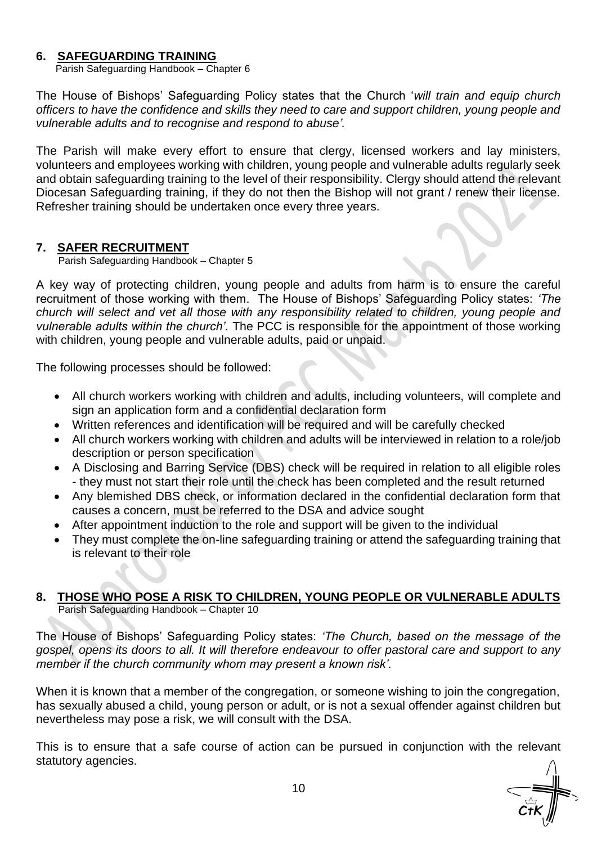#### **6. SAFEGUARDING TRAINING**

Parish Safeguarding Handbook – Chapter 6

The House of Bishops' Safeguarding Policy states that the Church '*will train and equip church officers to have the confidence and skills they need to care and support children, young people and vulnerable adults and to recognise and respond to abuse'.*

The Parish will make every effort to ensure that clergy, licensed workers and lay ministers, volunteers and employees working with children, young people and vulnerable adults regularly seek and obtain safeguarding training to the level of their responsibility. Clergy should attend the relevant Diocesan Safeguarding training, if they do not then the Bishop will not grant / renew their license. Refresher training should be undertaken once every three years.

#### **7. SAFER RECRUITMENT**

Parish Safeguarding Handbook – Chapter 5

A key way of protecting children, young people and adults from harm is to ensure the careful recruitment of those working with them. The House of Bishops' Safeguarding Policy states: *'The church will select and vet all those with any responsibility related to children, young people and vulnerable adults within the church'.* The PCC is responsible for the appointment of those working with children, young people and vulnerable adults, paid or unpaid.

The following processes should be followed:

- All church workers working with children and adults, including volunteers, will complete and sign an application form and a confidential declaration form
- Written references and identification will be required and will be carefully checked
- All church workers working with children and adults will be interviewed in relation to a role/job description or person specification
- A Disclosing and Barring Service (DBS) check will be required in relation to all eligible roles - they must not start their role until the check has been completed and the result returned
- Any blemished DBS check, or information declared in the confidential declaration form that causes a concern, must be referred to the DSA and advice sought
- After appointment induction to the role and support will be given to the individual
- They must complete the on-line safeguarding training or attend the safeguarding training that is relevant to their role

#### **8. THOSE WHO POSE A RISK TO CHILDREN, YOUNG PEOPLE OR VULNERABLE ADULTS** Parish Safeguarding Handbook – Chapter 10

The House of Bishops' Safeguarding Policy states: *'The Church, based on the message of the gospel, opens its doors to all. It will therefore endeavour to offer pastoral care and support to any member if the church community whom may present a known risk'.*

When it is known that a member of the congregation, or someone wishing to join the congregation, has sexually abused a child, young person or adult, or is not a sexual offender against children but nevertheless may pose a risk, we will consult with the DSA.

This is to ensure that a safe course of action can be pursued in conjunction with the relevant statutory agencies.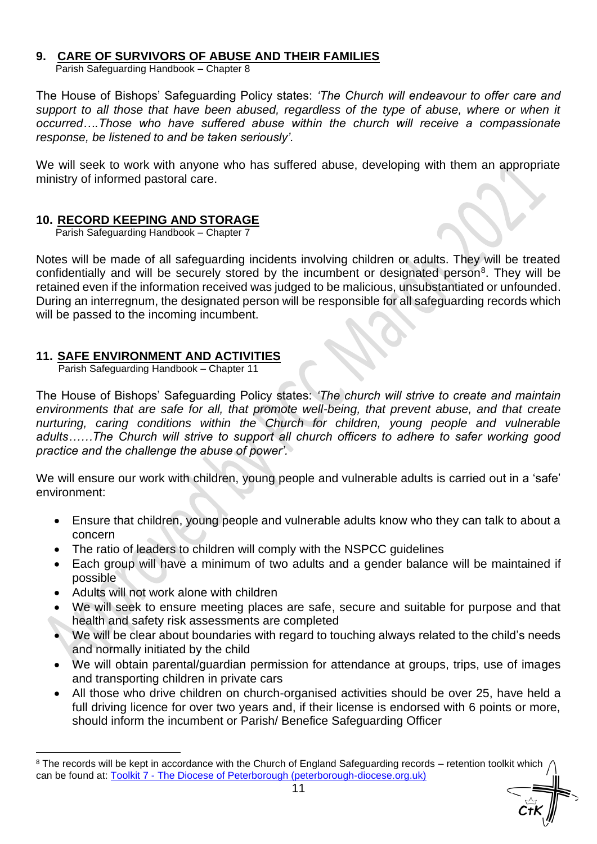#### **9. CARE OF SURVIVORS OF ABUSE AND THEIR FAMILIES**

Parish Safeguarding Handbook – Chapter 8

The House of Bishops' Safeguarding Policy states: *'The Church will endeavour to offer care and*  support to all those that have been abused, regardless of the type of abuse, where or when it *occurred….Those who have suffered abuse within the church will receive a compassionate response, be listened to and be taken seriously'.* 

We will seek to work with anyone who has suffered abuse, developing with them an appropriate ministry of informed pastoral care.

#### **10. RECORD KEEPING AND STORAGE**

Parish Safeguarding Handbook – Chapter 7

Notes will be made of all safeguarding incidents involving children or adults. They will be treated confidentially and will be securely stored by the incumbent or designated person<sup>8</sup>. They will be retained even if the information received was judged to be malicious, unsubstantiated or unfounded. During an interregnum, the designated person will be responsible for all safeguarding records which will be passed to the incoming incumbent.

#### **11. SAFE ENVIRONMENT AND ACTIVITIES**

Parish Safeguarding Handbook – Chapter 11

The House of Bishops' Safeguarding Policy states: *'The church will strive to create and maintain environments that are safe for all, that promote well-being, that prevent abuse, and that create nurturing, caring conditions within the Church for children, young people and vulnerable adults……The Church will strive to support all church officers to adhere to safer working good practice and the challenge the abuse of power'.*

We will ensure our work with children, young people and vulnerable adults is carried out in a 'safe' environment:

- Ensure that children, young people and vulnerable adults know who they can talk to about a concern
- The ratio of leaders to children will comply with the NSPCC guidelines
- Each group will have a minimum of two adults and a gender balance will be maintained if possible
- Adults will not work alone with children
- We will seek to ensure meeting places are safe, secure and suitable for purpose and that health and safety risk assessments are completed
- We will be clear about boundaries with regard to touching always related to the child's needs and normally initiated by the child
- We will obtain parental/guardian permission for attendance at groups, trips, use of images and transporting children in private cars
- All those who drive children on church-organised activities should be over 25, have held a full driving licence for over two years and, if their license is endorsed with 6 points or more, should inform the incumbent or Parish/ Benefice Safeguarding Officer

<sup>&</sup>lt;sup>8</sup> The records will be kept in accordance with the Church of England Safeguarding records – retention toolkit which can be found at: Toolkit 7 - [The Diocese of Peterborough \(peterborough-diocese.org.uk\)](https://www.peterborough-diocese.org.uk/code-of-practice/toolkit-7-sex-offenders-and-others-who-pose-a-risk)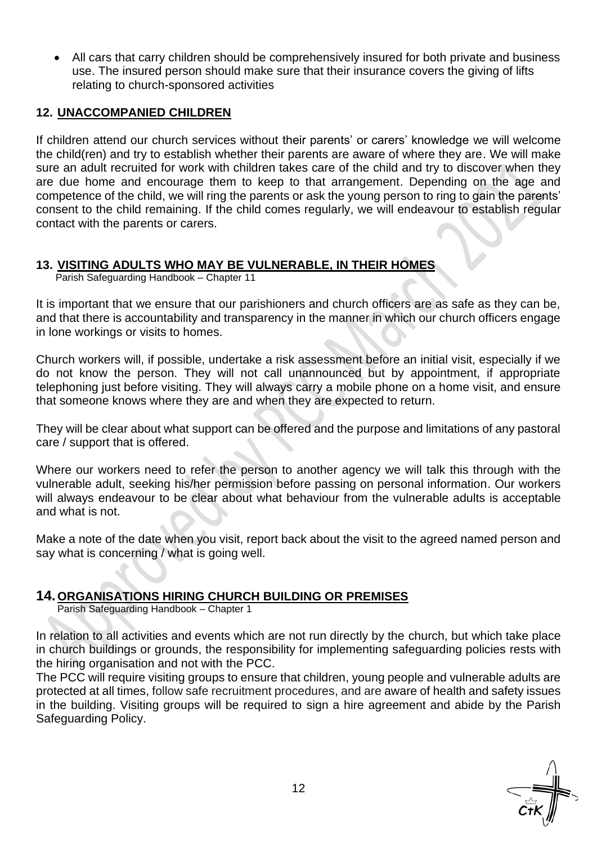• All cars that carry children should be comprehensively insured for both private and business use. The insured person should make sure that their insurance covers the giving of lifts relating to church-sponsored activities

#### **12. UNACCOMPANIED CHILDREN**

If children attend our church services without their parents' or carers' knowledge we will welcome the child(ren) and try to establish whether their parents are aware of where they are. We will make sure an adult recruited for work with children takes care of the child and try to discover when they are due home and encourage them to keep to that arrangement. Depending on the age and competence of the child, we will ring the parents or ask the young person to ring to gain the parents' consent to the child remaining. If the child comes regularly, we will endeavour to establish regular contact with the parents or carers.

#### **13. VISITING ADULTS WHO MAY BE VULNERABLE, IN THEIR HOMES**

Parish Safeguarding Handbook – Chapter 11

It is important that we ensure that our parishioners and church officers are as safe as they can be, and that there is accountability and transparency in the manner in which our church officers engage in lone workings or visits to homes.

Church workers will, if possible, undertake a risk assessment before an initial visit, especially if we do not know the person. They will not call unannounced but by appointment, if appropriate telephoning just before visiting. They will always carry a mobile phone on a home visit, and ensure that someone knows where they are and when they are expected to return.

They will be clear about what support can be offered and the purpose and limitations of any pastoral care / support that is offered.

Where our workers need to refer the person to another agency we will talk this through with the vulnerable adult, seeking his/her permission before passing on personal information. Our workers will always endeavour to be clear about what behaviour from the vulnerable adults is acceptable and what is not.

Make a note of the date when you visit, report back about the visit to the agreed named person and say what is concerning / what is going well.

#### **14.ORGANISATIONS HIRING CHURCH BUILDING OR PREMISES**

Parish Safeguarding Handbook – Chapter 1

In relation to all activities and events which are not run directly by the church, but which take place in church buildings or grounds, the responsibility for implementing safeguarding policies rests with the hiring organisation and not with the PCC.

The PCC will require visiting groups to ensure that children, young people and vulnerable adults are protected at all times, follow safe recruitment procedures, and are aware of health and safety issues in the building. Visiting groups will be required to sign a hire agreement and abide by the Parish Safeguarding Policy.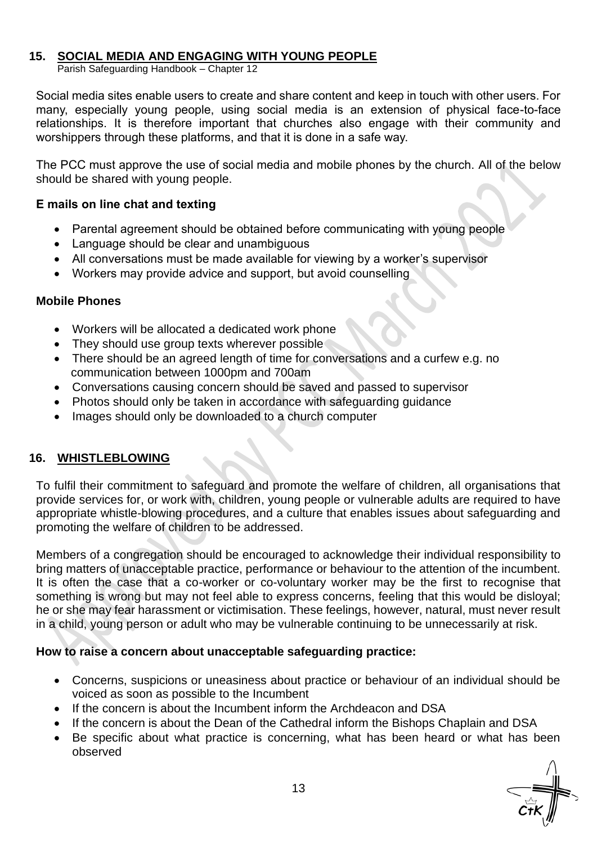#### **15. SOCIAL MEDIA AND ENGAGING WITH YOUNG PEOPLE**

Parish Safeguarding Handbook – Chapter 12

Social media sites enable users to create and share content and keep in touch with other users. For many, especially young people, using social media is an extension of physical face-to-face relationships. It is therefore important that churches also engage with their community and worshippers through these platforms, and that it is done in a safe way.

The PCC must approve the use of social media and mobile phones by the church. All of the below should be shared with young people.

#### **E mails on line chat and texting**

- Parental agreement should be obtained before communicating with young people
- Language should be clear and unambiguous
- All conversations must be made available for viewing by a worker's supervisor
- Workers may provide advice and support, but avoid counselling

#### **Mobile Phones**

- Workers will be allocated a dedicated work phone
- They should use group texts wherever possible
- There should be an agreed length of time for conversations and a curfew e.g. no communication between 1000pm and 700am
- Conversations causing concern should be saved and passed to supervisor
- Photos should only be taken in accordance with safeguarding guidance
- Images should only be downloaded to a church computer

#### **16. WHISTLEBLOWING**

To fulfil their commitment to safeguard and promote the welfare of children, all organisations that provide services for, or work with, children, young people or vulnerable adults are required to have appropriate whistle-blowing procedures, and a culture that enables issues about safeguarding and promoting the welfare of children to be addressed.

Members of a congregation should be encouraged to acknowledge their individual responsibility to bring matters of unacceptable practice, performance or behaviour to the attention of the incumbent. It is often the case that a co-worker or co-voluntary worker may be the first to recognise that something is wrong but may not feel able to express concerns, feeling that this would be disloyal; he or she may fear harassment or victimisation. These feelings, however, natural, must never result in a child, young person or adult who may be vulnerable continuing to be unnecessarily at risk.

#### **How to raise a concern about unacceptable safeguarding practice:**

- Concerns, suspicions or uneasiness about practice or behaviour of an individual should be voiced as soon as possible to the Incumbent
- If the concern is about the Incumbent inform the Archdeacon and DSA
- If the concern is about the Dean of the Cathedral inform the Bishops Chaplain and DSA
- Be specific about what practice is concerning, what has been heard or what has been observed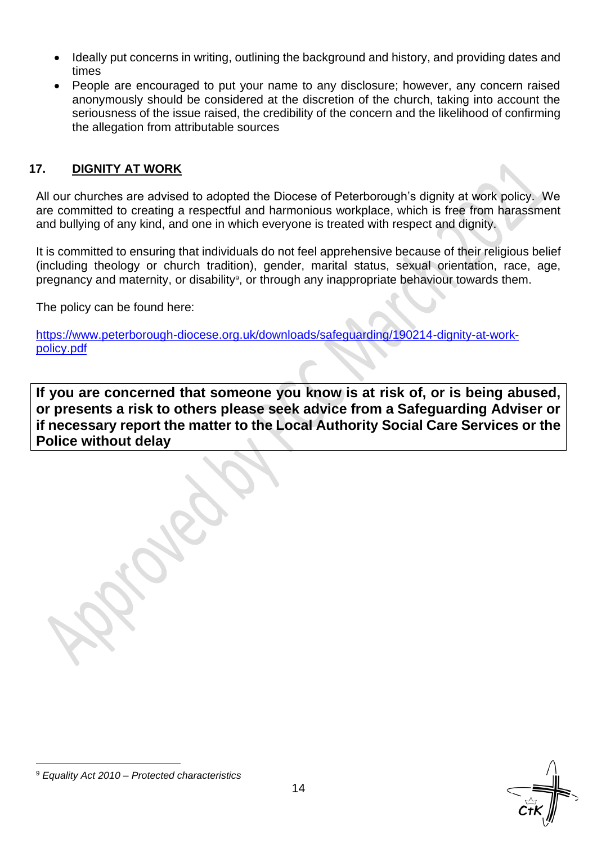- Ideally put concerns in writing, outlining the background and history, and providing dates and times
- People are encouraged to put your name to any disclosure; however, any concern raised anonymously should be considered at the discretion of the church, taking into account the seriousness of the issue raised, the credibility of the concern and the likelihood of confirming the allegation from attributable sources

### **17. DIGNITY AT WORK**

All our churches are advised to adopted the Diocese of Peterborough's dignity at work policy. We are committed to creating a respectful and harmonious workplace, which is free from harassment and bullying of any kind, and one in which everyone is treated with respect and dignity.

It is committed to ensuring that individuals do not feel apprehensive because of their religious belief (including theology or church tradition), gender, marital status, sexual orientation, race, age, pregnancy and maternity, or disability<sup>9</sup>, or through any inappropriate behaviour towards them.

The policy can be found here:

[https://www.peterborough-diocese.org.uk/downloads/safeguarding/190214-dignity-at-work](https://www.peterborough-diocese.org.uk/downloads/safeguarding/190214-dignity-at-work-policy.pdf)[policy.pdf](https://www.peterborough-diocese.org.uk/downloads/safeguarding/190214-dignity-at-work-policy.pdf)

**If you are concerned that someone you know is at risk of, or is being abused, or presents a risk to others please seek advice from a Safeguarding Adviser or if necessary report the matter to the Local Authority Social Care Services or the Police without delay**

<sup>9</sup> *Equality Act 2010 – Protected characteristics*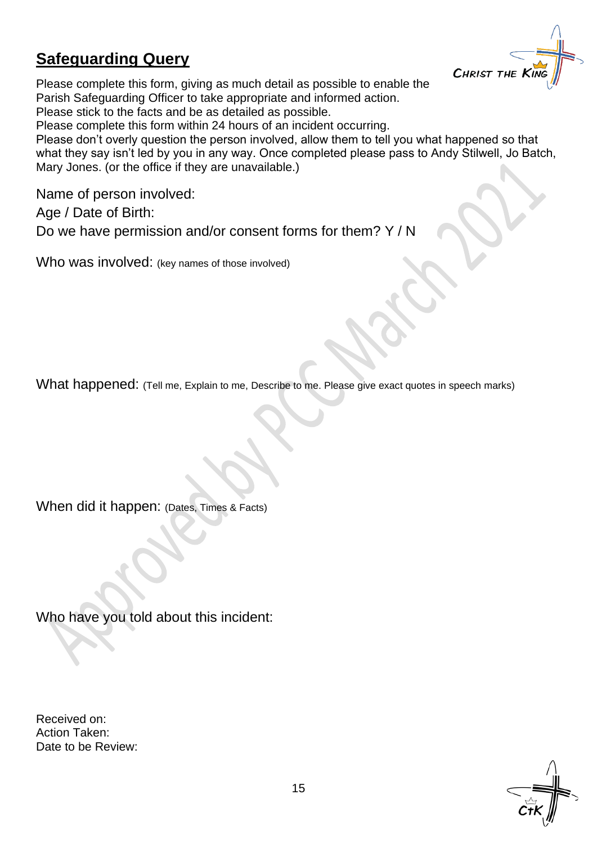## **Safeguarding Query**



Please complete this form, giving as much detail as possible to enable the Parish Safeguarding Officer to take appropriate and informed action. Please stick to the facts and be as detailed as possible.

Please complete this form within 24 hours of an incident occurring.

Please don't overly question the person involved, allow them to tell you what happened so that what they say isn't led by you in any way. Once completed please pass to Andy Stilwell, Jo Batch, Mary Jones. (or the office if they are unavailable.)

Name of person involved:

Age / Date of Birth:

Do we have permission and/or consent forms for them? Y / N

Who was involved: (key names of those involved)

What happened: (Tell me, Explain to me, Describe to me. Please give exact quotes in speech marks)

When did it happen: (Dates, Times & Facts)

Who have you told about this incident:

Received on: Action Taken: Date to be Review:

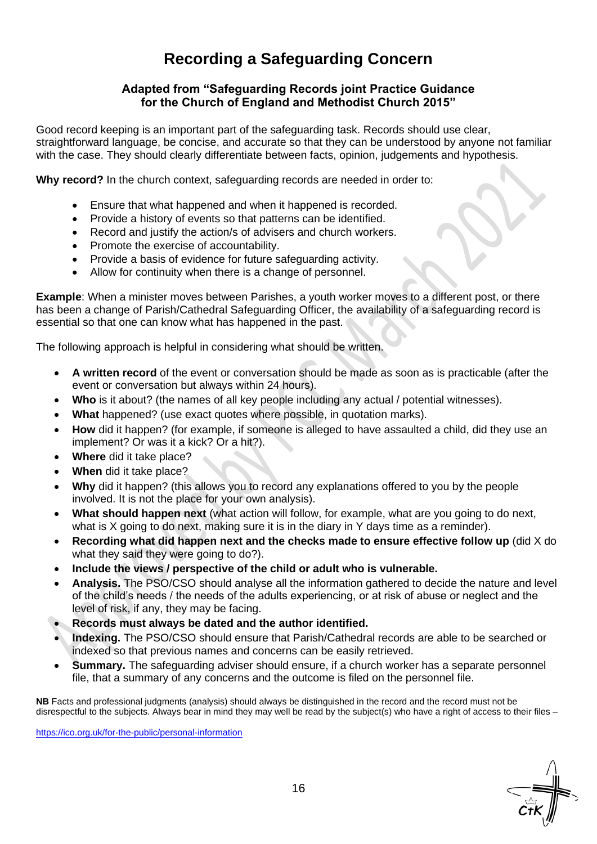## **Recording a Safeguarding Concern**

#### **Adapted from "Safeguarding Records joint Practice Guidance for the Church of England and Methodist Church 2015"**

Good record keeping is an important part of the safeguarding task. Records should use clear, straightforward language, be concise, and accurate so that they can be understood by anyone not familiar with the case. They should clearly differentiate between facts, opinion, judgements and hypothesis.

**Why record?** In the church context, safeguarding records are needed in order to:

- Ensure that what happened and when it happened is recorded.
- Provide a history of events so that patterns can be identified.
- Record and justify the action/s of advisers and church workers.
- Promote the exercise of accountability.
- Provide a basis of evidence for future safeguarding activity.
- Allow for continuity when there is a change of personnel.

**Example**: When a minister moves between Parishes, a youth worker moves to a different post, or there has been a change of Parish/Cathedral Safeguarding Officer, the availability of a safeguarding record is essential so that one can know what has happened in the past.

The following approach is helpful in considering what should be written.

- **A written record** of the event or conversation should be made as soon as is practicable (after the event or conversation but always within 24 hours).
- **Who** is it about? (the names of all key people including any actual / potential witnesses).
- **What** happened? (use exact quotes where possible, in quotation marks).
- **How** did it happen? (for example, if someone is alleged to have assaulted a child, did they use an implement? Or was it a kick? Or a hit?).
- **Where** did it take place?
- **When** did it take place?
- **Why** did it happen? (this allows you to record any explanations offered to you by the people involved. It is not the place for your own analysis).
- **What should happen next** (what action will follow, for example, what are you going to do next, what is X going to do next, making sure it is in the diary in Y days time as a reminder).
- **Recording what did happen next and the checks made to ensure effective follow up** (did X do what they said they were going to do?).
- **Include the views / perspective of the child or adult who is vulnerable.**
- **Analysis.** The PSO/CSO should analyse all the information gathered to decide the nature and level of the child's needs / the needs of the adults experiencing, or at risk of abuse or neglect and the level of risk, if any, they may be facing.
- **Records must always be dated and the author identified.**
- **Indexing.** The PSO/CSO should ensure that Parish/Cathedral records are able to be searched or indexed so that previous names and concerns can be easily retrieved.
- **Summary.** The safeguarding adviser should ensure, if a church worker has a separate personnel file, that a summary of any concerns and the outcome is filed on the personnel file.

**NB** Facts and professional judgments (analysis) should always be distinguished in the record and the record must not be disrespectful to the subjects. Always bear in mind they may well be read by the subject(s) who have a right of access to their files –

<https://ico.org.uk/for-the-public/personal-information>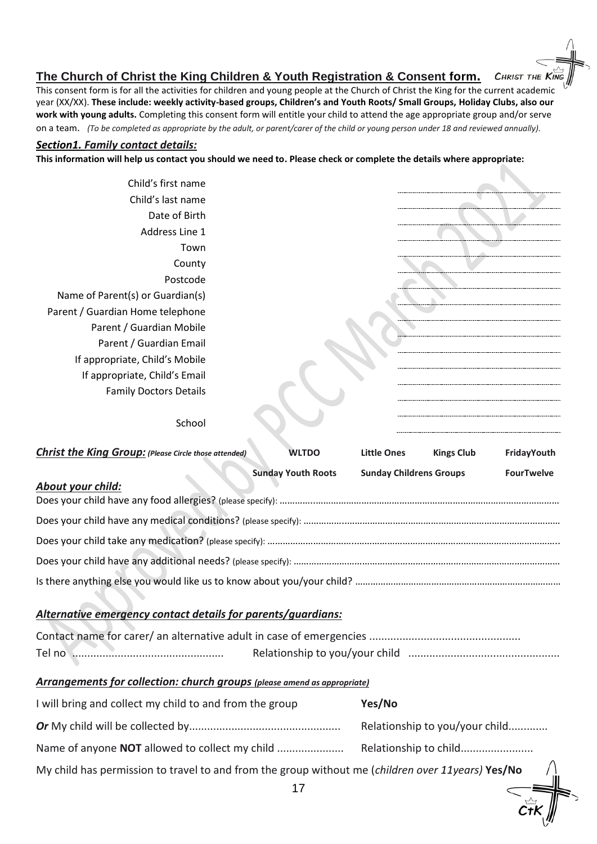#### **The Church of Christ the King Children & Youth Registration & Consent form.**

This consent form is for all the activities for children and young people at the Church of Christ the King for the current academic year (XX/XX). **These include: weekly activity-based groups, Children's and Youth Roots/ Small Groups, Holiday Clubs, also our work with young adults.** Completing this consent form will entitle your child to attend the age appropriate group and/or serve on a team. *(To be completed as appropriate by the adult, or parent/carer of the child or young person under 18 and reviewed annually).*

**CHRIST THE KING** 

 $\mathcal{C}$ t $\mathcal{K}^{\prime}_{\mathcal{N}}$ 

#### *Section1. Family contact details:*

**This information will help us contact you should we need to. Please check or complete the details where appropriate:**

Child's first name Child's last name Date of Birth Address Line 1 Town County Postcode Name of Parent(s) or Guardian(s) Parent / Guardian Home telephone Parent / Guardian Mobile Parent / Guardian Email If appropriate, Child's Mobile If appropriate, Child's Email Family Doctors Details

#### School

| <b>Christ the King Group:</b> (Please Circle those attended)                                      | <b>WLTDO</b>              | <b>Little Ones</b>             | <b>Kings Club</b> | FridayYouth       |  |  |
|---------------------------------------------------------------------------------------------------|---------------------------|--------------------------------|-------------------|-------------------|--|--|
|                                                                                                   | <b>Sunday Youth Roots</b> | <b>Sunday Childrens Groups</b> |                   | <b>FourTwelve</b> |  |  |
| About your child:                                                                                 |                           |                                |                   |                   |  |  |
|                                                                                                   |                           |                                |                   |                   |  |  |
|                                                                                                   |                           |                                |                   |                   |  |  |
|                                                                                                   |                           |                                |                   |                   |  |  |
|                                                                                                   |                           |                                |                   |                   |  |  |
|                                                                                                   |                           |                                |                   |                   |  |  |
|                                                                                                   |                           |                                |                   |                   |  |  |
| Alternative emergency contact details for parents/guardians:                                      |                           |                                |                   |                   |  |  |
|                                                                                                   |                           |                                |                   |                   |  |  |
|                                                                                                   |                           |                                |                   |                   |  |  |
| <b>Arrangements for collection: church groups (please amend as appropriate)</b>                   |                           |                                |                   |                   |  |  |
| I will bring and collect my child to and from the group                                           |                           | Yes/No                         |                   |                   |  |  |
|                                                                                                   |                           | Relationship to you/your child |                   |                   |  |  |
|                                                                                                   |                           |                                |                   |                   |  |  |
| My child has permission to travel to and from the group without me (children over 11years) Yes/No |                           |                                |                   |                   |  |  |
|                                                                                                   | 17                        |                                |                   |                   |  |  |
|                                                                                                   |                           |                                |                   |                   |  |  |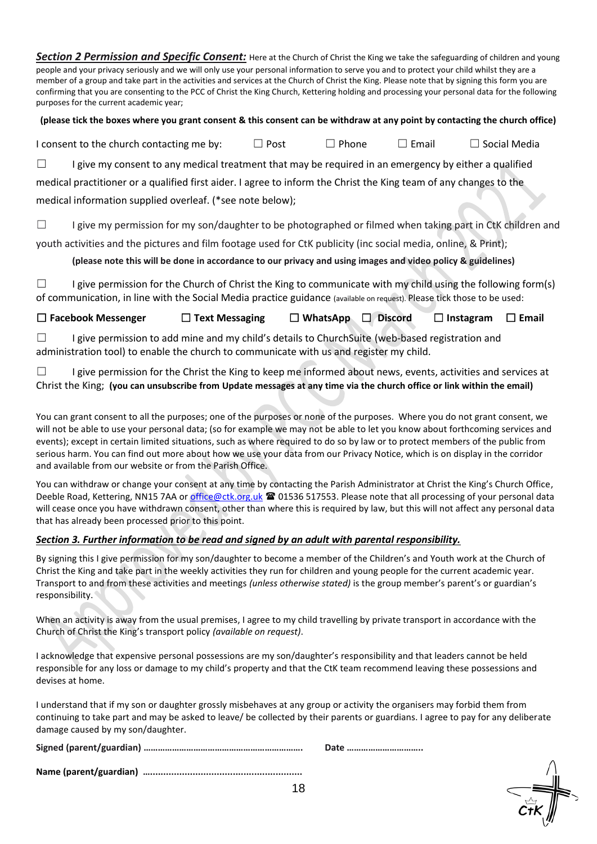*Section 2 Permission and Specific Consent:* Here at the Church of Christ the King we take the safeguarding of children and young people and your privacy seriously and we will only use your personal information to serve you and to protect your child whilst they are a member of a group and take part in the activities and services at the Church of Christ the King. Please note that by signing this form you are confirming that you are consenting to the PCC of Christ the King Church, Kettering holding and processing your personal data for the following purposes for the current academic year;

**(please tick the boxes where you grant consent & this consent can be withdraw at any point by contacting the church office)**

I consent to the church contacting me by:  $\Box$  Post  $\Box$  Phone  $\Box$  Email  $\Box$  Social Media

□ I give my consent to any medical treatment that may be required in an emergency by either a qualified

medical practitioner or a qualified first aider. I agree to inform the Christ the King team of any changes to the medical information supplied overleaf. (\*see note below);

□ I give my permission for my son/daughter to be photographed or filmed when taking part in CtK children and

youth activities and the pictures and film footage used for CtK publicity (inc social media, online, & Print);

**(please note this will be done in accordance to our privacy and using images and video policy & guidelines)**

□ I give permission for the Church of Christ the King to communicate with my child using the following form(s) of communication, in line with the Social Media practice guidance (available on request). Please tick those to be used:

☐ **Facebook Messenger** ☐ **Text Messaging** ☐ **WhatsApp** ☐ **Discord** ☐ **Instagram** ☐ **Email**

□ I give permission to add mine and my child's details to ChurchSuite (web-based registration and administration tool) to enable the church to communicate with us and register my child.

□ I give permission for the Christ the King to keep me informed about news, events, activities and services at Christ the King; **(you can unsubscribe from Update messages at any time via the church office or link within the email)**

You can grant consent to all the purposes; one of the purposes or none of the purposes. Where you do not grant consent, we will not be able to use your personal data; (so for example we may not be able to let you know about forthcoming services and events); except in certain limited situations, such as where required to do so by law or to protect members of the public from serious harm. You can find out more about how we use your data from our Privacy Notice, which is on display in the corridor and available from our website or from the Parish Office.

You can withdraw or change your consent at any time by contacting the Parish Administrator at Christ the King's Church Office, Deeble Road, Kettering, NN15 7AA or [office@ctk.org.uk](mailto:office@ctk.org.uk) <sup>2</sup> 01536 517553. Please note that all processing of your personal data will cease once you have withdrawn consent, other than where this is required by law, but this will not affect any personal data that has already been processed prior to this point.

#### *Section 3. Further information to be read and signed by an adult with parental responsibility.*

By signing this I give permission for my son/daughter to become a member of the Children's and Youth work at the Church of Christ the King and take part in the weekly activities they run for children and young people for the current academic year. Transport to and from these activities and meetings *(unless otherwise stated)* is the group member's parent's or guardian's responsibility.

When an activity is away from the usual premises, I agree to my child travelling by private transport in accordance with the Church of Christ the King's transport policy *(available on request)*.

I acknowledge that expensive personal possessions are my son/daughter's responsibility and that leaders cannot be held responsible for any loss or damage to my child's property and that the CtK team recommend leaving these possessions and devises at home.

I understand that if my son or daughter grossly misbehaves at any group or activity the organisers may forbid them from continuing to take part and may be asked to leave/ be collected by their parents or guardians. I agree to pay for any deliberate damage caused by my son/daughter.

| Date |
|------|
|      |